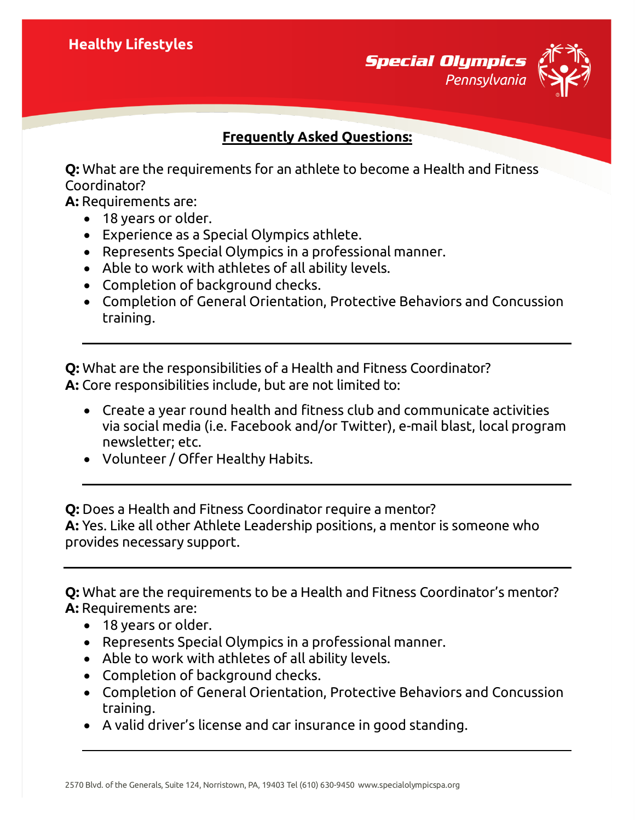**Special Olympics** *Pennsylvania*



## **Frequently Asked Questions:**

**Q:** What are the requirements for an athlete to become a Health and Fitness Coordinator?

**A:** Requirements are:

- 18 years or older.
- Experience as a Special Olympics athlete.
- Represents Special Olympics in a professional manner.
- Able to work with athletes of all ability levels.
- Completion of background checks.
- Completion of General Orientation, Protective Behaviors and Concussion training.

**Q:** What are the responsibilities of a Health and Fitness Coordinator? **A:** Core responsibilities include, but are not limited to:

- Create a year round health and fitness club and communicate activities via social media (i.e. Facebook and/or Twitter), e-mail blast, local program newsletter; etc.
- Volunteer / Offer Healthy Habits.

**Q:** Does a Health and Fitness Coordinator require a mentor? **A:** Yes. Like all other Athlete Leadership positions, a mentor is someone who provides necessary support.

**Q:** What are the requirements to be a Health and Fitness Coordinator's mentor? **A:** Requirements are:

- 18 years or older.
- Represents Special Olympics in a professional manner.
- Able to work with athletes of all ability levels.
- Completion of background checks.
- Completion of General Orientation, Protective Behaviors and Concussion training.
- A valid driver's license and car insurance in good standing.